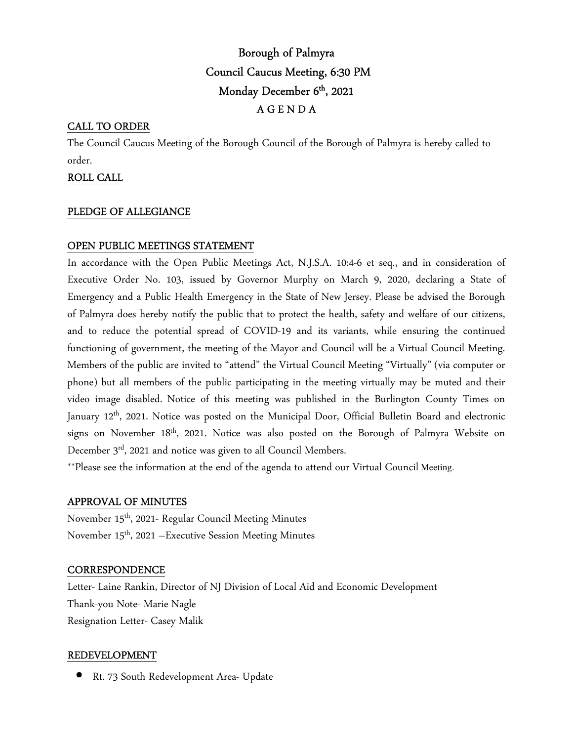# Borough of Palmyra Council Caucus Meeting, 6:30 PM Monday December 6<sup>th</sup>, 2021 A G E N D A

## CALL TO ORDER

The Council Caucus Meeting of the Borough Council of the Borough of Palmyra is hereby called to order.

### ROLL CALL

#### PLEDGE OF ALLEGIANCE

## OPEN PUBLIC MEETINGS STATEMENT

In accordance with the Open Public Meetings Act, N.J.S.A. 10:4-6 et seq., and in consideration of Executive Order No. 103, issued by Governor Murphy on March 9, 2020, declaring a State of Emergency and a Public Health Emergency in the State of New Jersey. Please be advised the Borough of Palmyra does hereby notify the public that to protect the health, safety and welfare of our citizens, and to reduce the potential spread of COVID-19 and its variants, while ensuring the continued functioning of government, the meeting of the Mayor and Council will be a Virtual Council Meeting. Members of the public are invited to "attend" the Virtual Council Meeting "Virtually" (via computer or phone) but all members of the public participating in the meeting virtually may be muted and their video image disabled. Notice of this meeting was published in the Burlington County Times on January 12<sup>th</sup>, 2021. Notice was posted on the Municipal Door, Official Bulletin Board and electronic signs on November 18<sup>th</sup>, 2021. Notice was also posted on the Borough of Palmyra Website on December 3<sup>rd</sup>, 2021 and notice was given to all Council Members.

\*\*Please see the information at the end of the agenda to attend our Virtual Council Meeting.

#### APPROVAL OF MINUTES

November 15<sup>th</sup>, 2021- Regular Council Meeting Minutes November 15<sup>th</sup>, 2021 – Executive Session Meeting Minutes

#### **CORRESPONDENCE**

Letter- Laine Rankin, Director of NJ Division of Local Aid and Economic Development Thank-you Note- Marie Nagle Resignation Letter- Casey Malik

#### REDEVELOPMENT

• Rt. 73 South Redevelopment Area- Update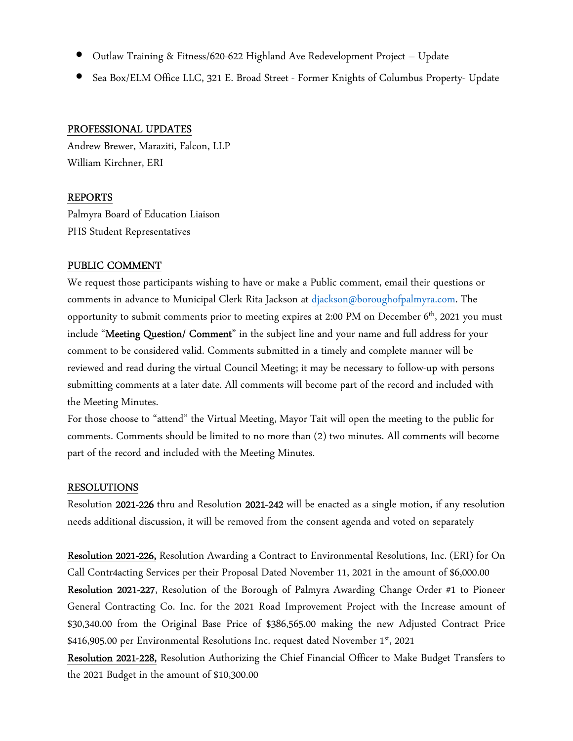- Outlaw Training & Fitness/620-622 Highland Ave Redevelopment Project Update
- Sea Box/ELM Office LLC, 321 E. Broad Street Former Knights of Columbus Property- Update

#### PROFESSIONAL UPDATES

Andrew Brewer, Maraziti, Falcon, LLP William Kirchner, ERI

#### REPORTS

Palmyra Board of Education Liaison PHS Student Representatives

## PUBLIC COMMENT

We request those participants wishing to have or make a Public comment, email their questions or comments in advance to Municipal Clerk Rita Jackson at djackson@boroughofpalmyra.com. The opportunity to submit comments prior to meeting expires at 2:00 PM on December 6th, 2021 you must include "Meeting Question/ Comment" in the subject line and your name and full address for your comment to be considered valid. Comments submitted in a timely and complete manner will be reviewed and read during the virtual Council Meeting; it may be necessary to follow-up with persons submitting comments at a later date. All comments will become part of the record and included with the Meeting Minutes.

For those choose to "attend" the Virtual Meeting, Mayor Tait will open the meeting to the public for comments. Comments should be limited to no more than (2) two minutes. All comments will become part of the record and included with the Meeting Minutes.

#### RESOLUTIONS

Resolution 2021-226 thru and Resolution 2021-242 will be enacted as a single motion, if any resolution needs additional discussion, it will be removed from the consent agenda and voted on separately

Resolution 2021-226, Resolution Awarding a Contract to Environmental Resolutions, Inc. (ERI) for On Call Contr4acting Services per their Proposal Dated November 11, 2021 in the amount of \$6,000.00 Resolution 2021-227, Resolution of the Borough of Palmyra Awarding Change Order #1 to Pioneer General Contracting Co. Inc. for the 2021 Road Improvement Project with the Increase amount of \$30,340.00 from the Original Base Price of \$386,565.00 making the new Adjusted Contract Price \$416,905.00 per Environmental Resolutions Inc. request dated November 1<sup>st</sup>, 2021

Resolution 2021-228, Resolution Authorizing the Chief Financial Officer to Make Budget Transfers to the 2021 Budget in the amount of \$10,300.00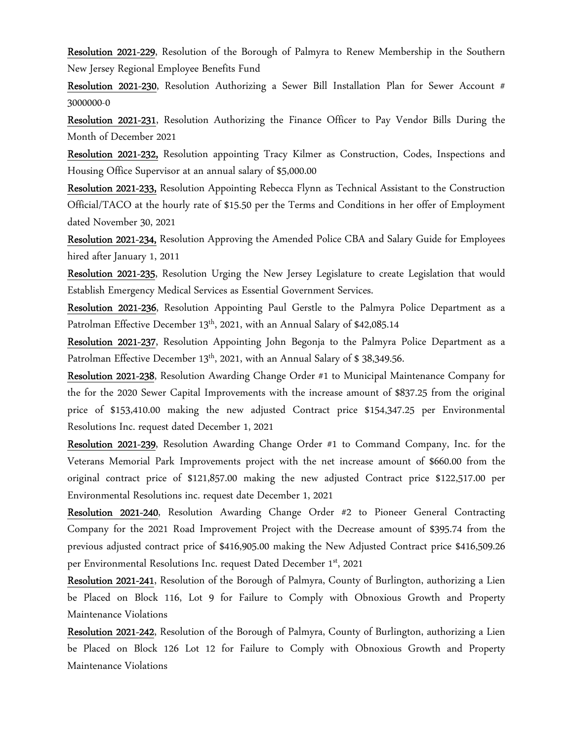Resolution 2021-229, Resolution of the Borough of Palmyra to Renew Membership in the Southern New Jersey Regional Employee Benefits Fund

Resolution 2021-230, Resolution Authorizing a Sewer Bill Installation Plan for Sewer Account # 3000000-0

Resolution 2021-231, Resolution Authorizing the Finance Officer to Pay Vendor Bills During the Month of December 2021

Resolution 2021-232, Resolution appointing Tracy Kilmer as Construction, Codes, Inspections and Housing Office Supervisor at an annual salary of \$5,000.00

Resolution 2021-233, Resolution Appointing Rebecca Flynn as Technical Assistant to the Construction Official/TACO at the hourly rate of \$15.50 per the Terms and Conditions in her offer of Employment dated November 30, 2021

Resolution 2021-234, Resolution Approving the Amended Police CBA and Salary Guide for Employees hired after January 1, 2011

Resolution 2021-235, Resolution Urging the New Jersey Legislature to create Legislation that would Establish Emergency Medical Services as Essential Government Services.

Resolution 2021-236, Resolution Appointing Paul Gerstle to the Palmyra Police Department as a Patrolman Effective December 13<sup>th</sup>, 2021, with an Annual Salary of \$42,085.14

Resolution 2021-237, Resolution Appointing John Begonja to the Palmyra Police Department as a Patrolman Effective December  $13<sup>th</sup>$ , 2021, with an Annual Salary of \$ 38,349.56.

Resolution 2021-238, Resolution Awarding Change Order #1 to Municipal Maintenance Company for the for the 2020 Sewer Capital Improvements with the increase amount of \$837.25 from the original price of \$153,410.00 making the new adjusted Contract price \$154,347.25 per Environmental Resolutions Inc. request dated December 1, 2021

Resolution 2021-239, Resolution Awarding Change Order #1 to Command Company, Inc. for the Veterans Memorial Park Improvements project with the net increase amount of \$660.00 from the original contract price of \$121,857.00 making the new adjusted Contract price \$122,517.00 per Environmental Resolutions inc. request date December 1, 2021

Resolution 2021-240, Resolution Awarding Change Order #2 to Pioneer General Contracting Company for the 2021 Road Improvement Project with the Decrease amount of \$395.74 from the previous adjusted contract price of \$416,905.00 making the New Adjusted Contract price \$416,509.26 per Environmental Resolutions Inc. request Dated December 1st, 2021

Resolution 2021-241, Resolution of the Borough of Palmyra, County of Burlington, authorizing a Lien be Placed on Block 116, Lot 9 for Failure to Comply with Obnoxious Growth and Property Maintenance Violations

Resolution 2021-242, Resolution of the Borough of Palmyra, County of Burlington, authorizing a Lien be Placed on Block 126 Lot 12 for Failure to Comply with Obnoxious Growth and Property Maintenance Violations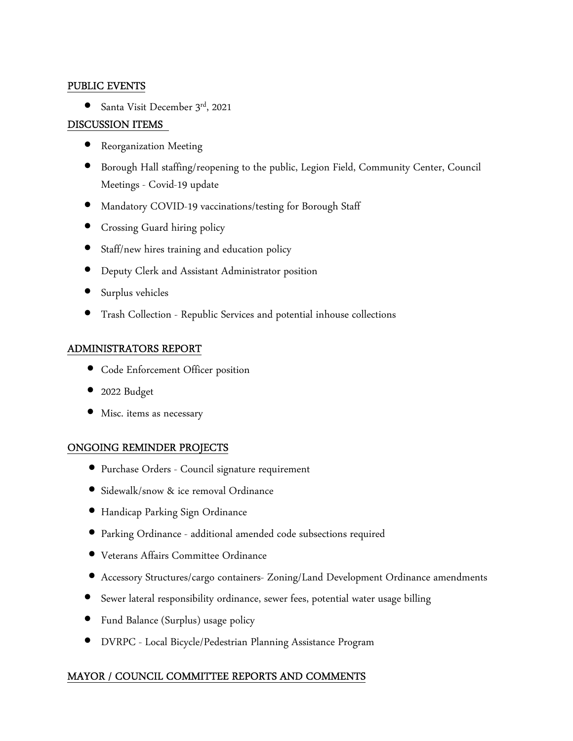### PUBLIC EVENTS

• Santa Visit December 3rd, 2021

# DISCUSSION ITEMS

- Reorganization Meeting
- Borough Hall staffing/reopening to the public, Legion Field, Community Center, Council Meetings - Covid-19 update
- Mandatory COVID-19 vaccinations/testing for Borough Staff
- Crossing Guard hiring policy
- Staff/new hires training and education policy
- Deputy Clerk and Assistant Administrator position
- Surplus vehicles
- Trash Collection Republic Services and potential inhouse collections

# ADMINISTRATORS REPORT

- Code Enforcement Officer position
- 2022 Budget
- Misc. items as necessary

# ONGOING REMINDER PROJECTS

- Purchase Orders Council signature requirement
- Sidewalk/snow & ice removal Ordinance
- Handicap Parking Sign Ordinance
- Parking Ordinance additional amended code subsections required
- Veterans Affairs Committee Ordinance
- Accessory Structures/cargo containers- Zoning/Land Development Ordinance amendments
- Sewer lateral responsibility ordinance, sewer fees, potential water usage billing
- Fund Balance (Surplus) usage policy
- DVRPC Local Bicycle/Pedestrian Planning Assistance Program

# MAYOR / COUNCIL COMMITTEE REPORTS AND COMMENTS